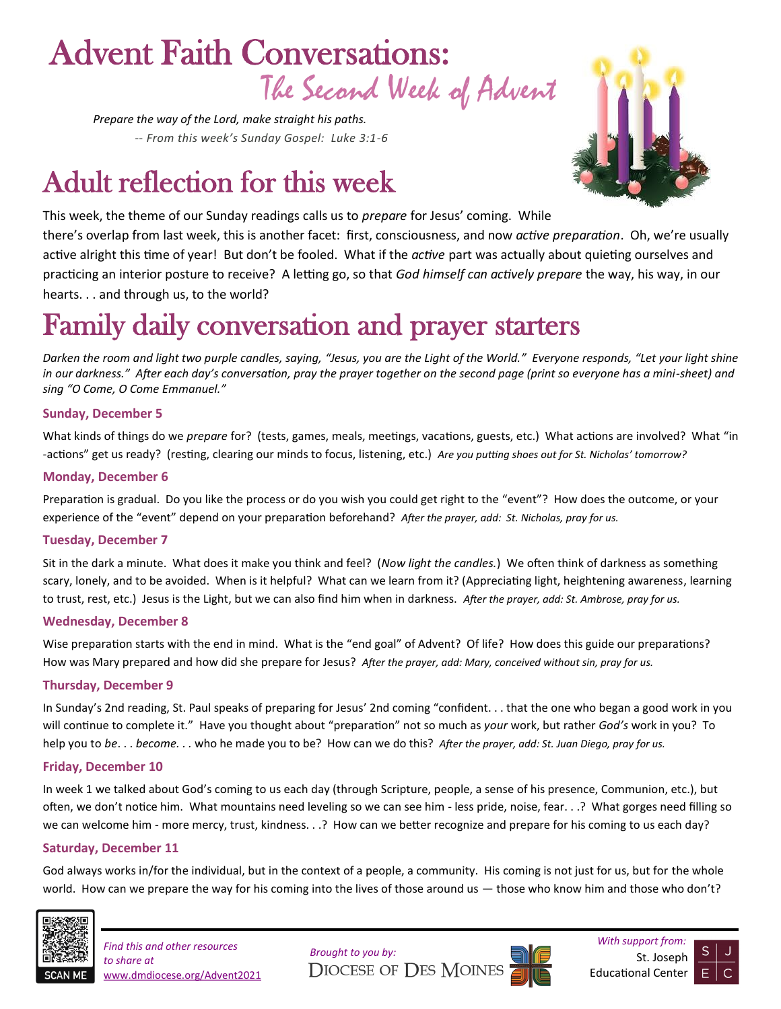# The Second Week of Advent Advent Faith Conversations:

*Prepare the way of the Lord, make straight his paths. -- From this week's Sunday Gospel: Luke 3:1-6*

# Adult reflection for this week



This week, the theme of our Sunday readings calls us to *prepare* for Jesus' coming. While there's overlap from last week, this is another facet: first, consciousness, and now *active preparation*. Oh, we're usually active alright this time of year! But don't be fooled. What if the *active* part was actually about quieting ourselves and practicing an interior posture to receive? A letting go, so that *God himself can actively prepare* the way, his way, in our hearts. . . and through us, to the world?

# Family daily conversation and prayer starters

*Darken the room and light two purple candles, saying, "Jesus, you are the Light of the World." Everyone responds, "Let your light shine in our darkness." After each day's conversation, pray the prayer together on the second page (print so everyone has a mini-sheet) and sing "O Come, O Come Emmanuel."* 

#### **Sunday, December 5**

What kinds of things do we *prepare* for? (tests, games, meals, meetings, vacations, guests, etc.) What actions are involved? What "in -actions" get us ready? (resting, clearing our minds to focus, listening, etc.) *Are you putting shoes out for St. Nicholas' tomorrow?*

#### **Monday, December 6**

Preparation is gradual. Do you like the process or do you wish you could get right to the "event"? How does the outcome, or your experience of the "event" depend on your preparation beforehand? *After the prayer, add: St. Nicholas, pray for us.*

#### **Tuesday, December 7**

Sit in the dark a minute. What does it make you think and feel? (*Now light the candles.*) We often think of darkness as something scary, lonely, and to be avoided. When is it helpful? What can we learn from it? (Appreciating light, heightening awareness, learning to trust, rest, etc.) Jesus is the Light, but we can also find him when in darkness. *After the prayer, add: St. Ambrose, pray for us.*

#### **Wednesday, December 8**

Wise preparation starts with the end in mind. What is the "end goal" of Advent? Of life? How does this guide our preparations? How was Mary prepared and how did she prepare for Jesus? *After the prayer, add: Mary, conceived without sin, pray for us.*

### **Thursday, December 9**

In Sunday's 2nd reading, St. Paul speaks of preparing for Jesus' 2nd coming "confident. . . that the one who began a good work in you will continue to complete it." Have you thought about "preparation" not so much as *your* work, but rather *God's* work in you? To help you to *be*. . . *become. . .* who he made you to be? How can we do this? *After the prayer, add: St. Juan Diego, pray for us.*

#### **Friday, December 10**

In week 1 we talked about God's coming to us each day (through Scripture, people, a sense of his presence, Communion, etc.), but often, we don't notice him. What mountains need leveling so we can see him - less pride, noise, fear. . .? What gorges need filling so we can welcome him - more mercy, trust, kindness. . .? How can we better recognize and prepare for his coming to us each day?

### **Saturday, December 11**

God always works in/for the individual, but in the context of a people, a community. His coming is not just for us, but for the whole world. How can we prepare the way for his coming into the lives of those around us — those who know him and those who don't?



*With support from: Find this and other resources to share at*  www.dmdiocese.org/Advent2021

**Brought to you by:** St. Joseph St. Joseph St. Joseph St. Joseph St. Joseph St. Joseph St. Joseph St. Joseph St. Joseph St. Joseph St. Joseph St. Joseph St. Joseph St. Joseph St. Joseph St. Joseph St. Joseph St. Joseph St.